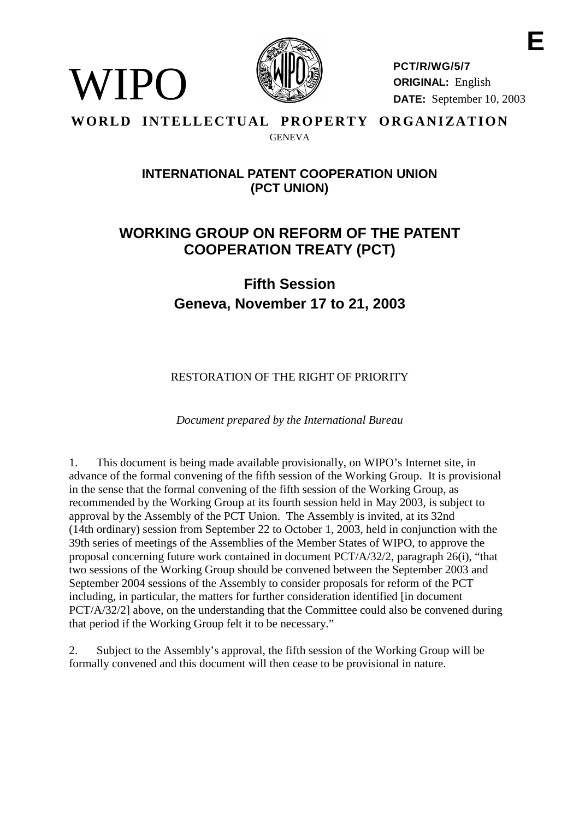

WIPO

**PCT/R/WG/5/7 ORIGINAL:** English **DATE:** September 10, 2003

#### WORLD INTELLECTUAL PROPERTY ORGANIZATION **GENEVA**

# **INTERNATIONAL PATENT COOPERATION UNION (PCT UNION)**

# **WORKING GROUP ON REFORM OF THE PATENT COOPERATION TREATY (PCT)**

**Fifth Session Geneva, November 17 to 21, 2003**

RESTORATION OF THE RIGHT OF PRIORITY

*Document prepared by the International Bureau*

1. This document is being made available provisionally, on WIPO's Internet site, in advance of the formal convening of the fifth session of the Working Group. It is provisional in the sense that the formal convening of the fifth session of the Working Group, as recommended by the Working Group at its fourth session held in May 2003, is subject to approval by the Assembly of the PCT Union. The Assembly is invited, at its 32nd (14th ordinary) session from September 22 to October 1, 2003, held in conjunction with the 39th series of meetings of the Assemblies of the Member States of WIPO, to approve the proposal concerning future work contained in document PCT/A/32/2, paragraph 26(i), "that two sessions of the Working Group should be convened between the September 2003 and September 2004 sessions of the Assembly to consider proposals for reform of the PCT including, in particular, the matters for further consideration identified [in document PCT/A/32/2] above, on the understanding that the Committee could also be convened during that period if the Working Group felt it to be necessary."

2. Subject to the Assembly's approval, the fifth session of the Working Group will be formally convened and this document will then cease to be provisional in nature.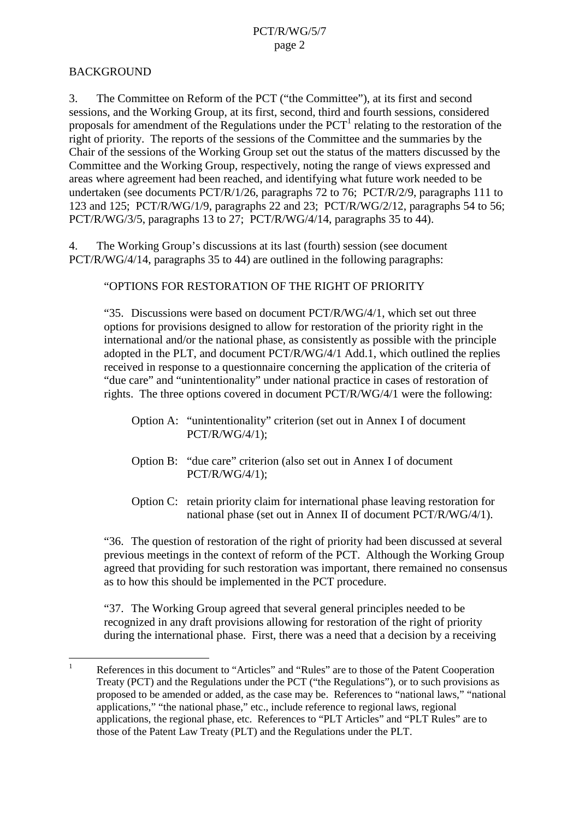# BACKGROUND

3. The Committee on Reform of the PCT ("the Committee"), at its first and second sessions, and the Working Group, at its first, second, third and fourth sessions, considered proposals for amendment of the Regulations under the  $PCT<sup>1</sup>$  relating to the restoration of the right of priority. The reports of the sessions of the Committee and the summaries by the Chair of the sessions of the Working Group set out the status of the matters discussed by the Committee and the Working Group, respectively, noting the range of views expressed and areas where agreement had been reached, and identifying what future work needed to be undertaken (see documents PCT/R/1/26, paragraphs 72 to 76; PCT/R/2/9, paragraphs 111 to 123 and 125; PCT/R/WG/1/9, paragraphs 22 and 23; PCT/R/WG/2/12, paragraphs 54 to 56; PCT/R/WG/3/5, paragraphs 13 to 27; PCT/R/WG/4/14, paragraphs 35 to 44).

4. The Working Group's discussions at its last (fourth) session (see document PCT/R/WG/4/14, paragraphs 35 to 44) are outlined in the following paragraphs:

"OPTIONS FOR RESTORATION OF THE RIGHT OF PRIORITY

"35. Discussions were based on document PCT/R/WG/4/1, which set out three options for provisions designed to allow for restoration of the priority right in the international and/or the national phase, as consistently as possible with the principle adopted in the PLT, and document PCT/R/WG/4/1 Add.1, which outlined the replies received in response to a questionnaire concerning the application of the criteria of "due care" and "unintentionality" under national practice in cases of restoration of rights. The three options covered in document PCT/R/WG/4/1 were the following:

- Option A: "unintentionality" criterion (set out in Annex I of document PCT/R/WG/4/1);
- Option B: "due care" criterion (also set out in Annex I of document PCT/R/WG/4/1);
- Option C: retain priority claim for international phase leaving restoration for national phase (set out in Annex II of document PCT/R/WG/4/1).

"36. The question of restoration of the right of priority had been discussed at several previous meetings in the context of reform of the PCT. Although the Working Group agreed that providing for such restoration was important, there remained no consensus as to how this should be implemented in the PCT procedure.

"37. The Working Group agreed that several general principles needed to be recognized in any draft provisions allowing for restoration of the right of priority during the international phase. First, there was a need that a decision by a receiving

References in this document to "Articles" and "Rules" are to those of the Patent Cooperation Treaty (PCT) and the Regulations under the PCT ("the Regulations"), or to such provisions as proposed to be amended or added, as the case may be. References to "national laws," "national applications," "the national phase," etc., include reference to regional laws, regional applications, the regional phase, etc. References to "PLT Articles" and "PLT Rules" are to those of the Patent Law Treaty (PLT) and the Regulations under the PLT.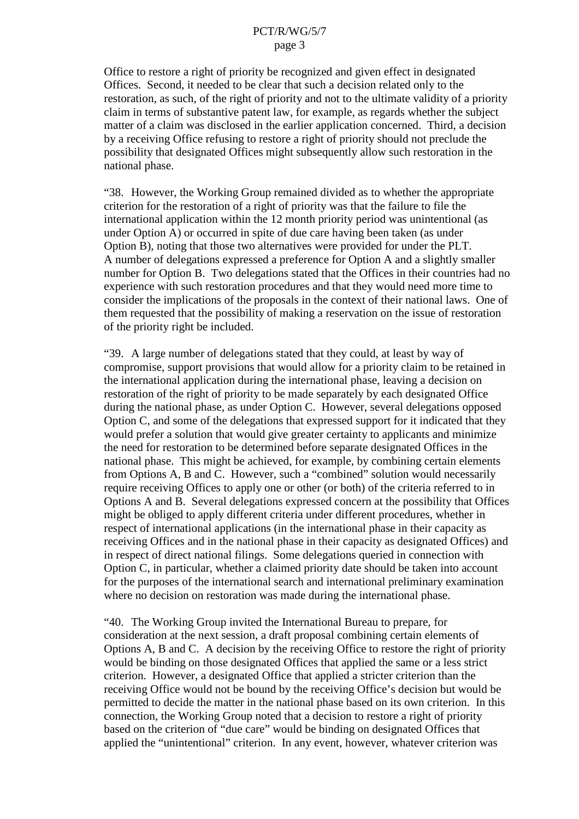#### PCT/R/WG/5/7 page 3

Office to restore a right of priority be recognized and given effect in designated Offices. Second, it needed to be clear that such a decision related only to the restoration, as such, of the right of priority and not to the ultimate validity of a priority claim in terms of substantive patent law, for example, as regards whether the subject matter of a claim was disclosed in the earlier application concerned. Third, a decision by a receiving Office refusing to restore a right of priority should not preclude the possibility that designated Offices might subsequently allow such restoration in the national phase.

"38. However, the Working Group remained divided as to whether the appropriate criterion for the restoration of a right of priority was that the failure to file the international application within the 12 month priority period was unintentional (as under Option A) or occurred in spite of due care having been taken (as under Option B), noting that those two alternatives were provided for under the PLT. A number of delegations expressed a preference for Option A and a slightly smaller number for Option B. Two delegations stated that the Offices in their countries had no experience with such restoration procedures and that they would need more time to consider the implications of the proposals in the context of their national laws. One of them requested that the possibility of making a reservation on the issue of restoration of the priority right be included.

"39. A large number of delegations stated that they could, at least by way of compromise, support provisions that would allow for a priority claim to be retained in the international application during the international phase, leaving a decision on restoration of the right of priority to be made separately by each designated Office during the national phase, as under Option C. However, several delegations opposed Option C, and some of the delegations that expressed support for it indicated that they would prefer a solution that would give greater certainty to applicants and minimize the need for restoration to be determined before separate designated Offices in the national phase. This might be achieved, for example, by combining certain elements from Options A, B and C. However, such a "combined" solution would necessarily require receiving Offices to apply one or other (or both) of the criteria referred to in Options A and B. Several delegations expressed concern at the possibility that Offices might be obliged to apply different criteria under different procedures, whether in respect of international applications (in the international phase in their capacity as receiving Offices and in the national phase in their capacity as designated Offices) and in respect of direct national filings. Some delegations queried in connection with Option C, in particular, whether a claimed priority date should be taken into account for the purposes of the international search and international preliminary examination where no decision on restoration was made during the international phase.

"40. The Working Group invited the International Bureau to prepare, for consideration at the next session, a draft proposal combining certain elements of Options A, B and C. A decision by the receiving Office to restore the right of priority would be binding on those designated Offices that applied the same or a less strict criterion. However, a designated Office that applied a stricter criterion than the receiving Office would not be bound by the receiving Office's decision but would be permitted to decide the matter in the national phase based on its own criterion. In this connection, the Working Group noted that a decision to restore a right of priority based on the criterion of "due care" would be binding on designated Offices that applied the "unintentional" criterion. In any event, however, whatever criterion was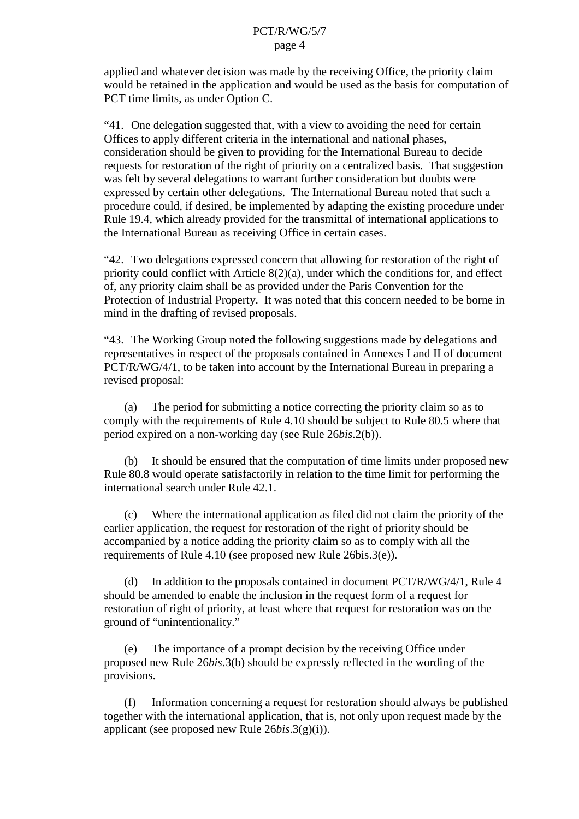applied and whatever decision was made by the receiving Office, the priority claim would be retained in the application and would be used as the basis for computation of PCT time limits, as under Option C.

"41. One delegation suggested that, with a view to avoiding the need for certain Offices to apply different criteria in the international and national phases, consideration should be given to providing for the International Bureau to decide requests for restoration of the right of priority on a centralized basis. That suggestion was felt by several delegations to warrant further consideration but doubts were expressed by certain other delegations. The International Bureau noted that such a procedure could, if desired, be implemented by adapting the existing procedure under Rule 19.4, which already provided for the transmittal of international applications to the International Bureau as receiving Office in certain cases.

"42. Two delegations expressed concern that allowing for restoration of the right of priority could conflict with Article 8(2)(a), under which the conditions for, and effect of, any priority claim shall be as provided under the Paris Convention for the Protection of Industrial Property. It was noted that this concern needed to be borne in mind in the drafting of revised proposals.

"43. The Working Group noted the following suggestions made by delegations and representatives in respect of the proposals contained in Annexes I and II of document PCT/R/WG/4/1, to be taken into account by the International Bureau in preparing a revised proposal:

(a) The period for submitting a notice correcting the priority claim so as to comply with the requirements of Rule 4.10 should be subject to Rule 80.5 where that period expired on a non-working day (see Rule 26*bis*.2(b)).

(b) It should be ensured that the computation of time limits under proposed new Rule 80.8 would operate satisfactorily in relation to the time limit for performing the international search under Rule 42.1.

(c) Where the international application as filed did not claim the priority of the earlier application, the request for restoration of the right of priority should be accompanied by a notice adding the priority claim so as to comply with all the requirements of Rule 4.10 (see proposed new Rule 26bis.3(e)).

(d) In addition to the proposals contained in document  $PCT/R/WG/4/1$ , Rule 4 should be amended to enable the inclusion in the request form of a request for restoration of right of priority, at least where that request for restoration was on the ground of "unintentionality."

(e) The importance of a prompt decision by the receiving Office under proposed new Rule 26*bis*.3(b) should be expressly reflected in the wording of the provisions.

(f) Information concerning a request for restoration should always be published together with the international application, that is, not only upon request made by the applicant (see proposed new Rule 26*bis*.3(g)(i)).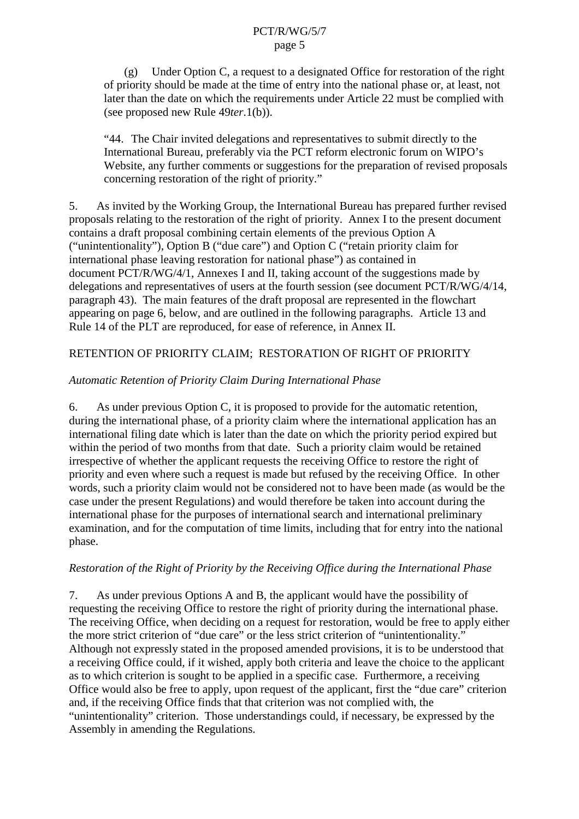#### PCT/R/WG/5/7 page 5

<span id="page-4-0"></span>(g) Under Option C, a request to a designated Office for restoration of the right of priority should be made at the time of entry into the national phase or, at least, not later than the date on which the requirements under Article 22 must be complied with (see proposed new Rule 49*ter*.1(b)).

"44. The Chair invited delegations and representatives to submit directly to the International Bureau, preferably via the PCT reform electronic forum on WIPO's Website, any further comments or suggestions for the preparation of revised proposals concerning restoration of the right of priority."

5. As invited by the Working Group, the International Bureau has prepared further revised proposals relating to the restoration of the right of priority. Annex I to the present document contains a draft proposal combining certain elements of the previous Option A ("unintentionality"), Option B ("due care") and Option C ("retain priority claim for international phase leaving restoration for national phase") as contained in document PCT/R/WG/4/1, Annexes I and II, taking account of the suggestions made by delegations and representatives of users at the fourth session (see document PCT/R/WG/4/14, paragraph 43). The main features of the draft proposal are represented in the flowchart appearing on page [6](#page-5-0), below, and are outlined in the following paragraphs. Article 13 and Rule 14 of the PLT are reproduced, for ease of reference, in Annex II.

# RETENTION OF PRIORITY CLAIM; RESTORATION OF RIGHT OF PRIORITY

# *Automatic Retention of Priority Claim During International Phase*

6. As under previous Option C, it is proposed to provide for the automatic retention, during the international phase, of a priority claim where the international application has an international filing date which is later than the date on which the priority period expired but within the period of two months from that date. Such a priority claim would be retained irrespective of whether the applicant requests the receiving Office to restore the right of priority and even where such a request is made but refused by the receiving Office. In other words, such a priority claim would not be considered not to have been made (as would be the case under the present Regulations) and would therefore be taken into account during the international phase for the purposes of international search and international preliminary examination, and for the computation of time limits, including that for entry into the national phase.

# *Restoration of the Right of Priority by the Receiving Office during the International Phase*

7. As under previous Options A and B, the applicant would have the possibility of requesting the receiving Office to restore the right of priority during the international phase. The receiving Office, when deciding on a request for restoration, would be free to apply either the more strict criterion of "due care" or the less strict criterion of "unintentionality." Although not expressly stated in the proposed amended provisions, it is to be understood that a receiving Office could, if it wished, apply both criteria and leave the choice to the applicant as to which criterion is sought to be applied in a specific case. Furthermore, a receiving Office would also be free to apply, upon request of the applicant, first the "due care" criterion and, if the receiving Office finds that that criterion was not complied with, the "unintentionality" criterion. Those understandings could, if necessary, be expressed by the Assembly in amending the Regulations.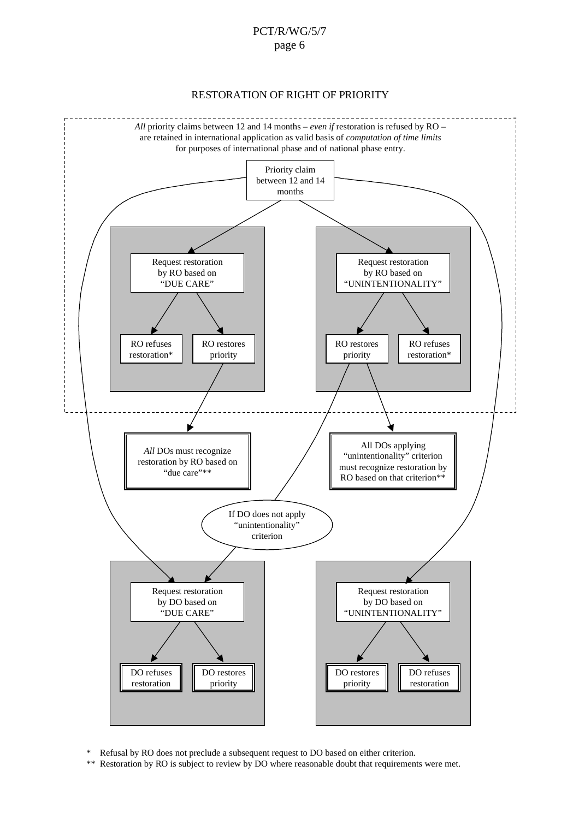PCT/R/WG/5/7 page 6

#### RESTORATION OF RIGHT OF PRIORITY

<span id="page-5-0"></span>

\* Refusal by RO does not preclude a subsequent request to DO based on either criterion.

\*\* Restoration by RO is subject to review by DO where reasonable doubt that requirements were met.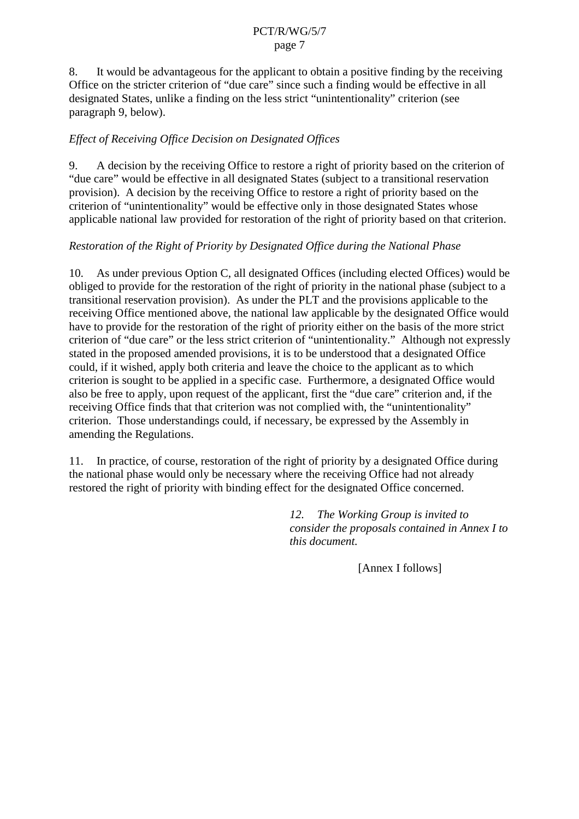<span id="page-6-0"></span>8. It would be advantageous for the applicant to obtain a positive finding by the receiving Office on the stricter criterion of "due care" since such a finding would be effective in all designated States, unlike a finding on the less strict "unintentionality" criterion (see paragraph 9, below).

# *Effect of Receiving Office Decision on Designated Offices*

9. A decision by the receiving Office to restore a right of priority based on the criterion of "due care" would be effective in all designated States (subject to a transitional reservation provision). A decision by the receiving Office to restore a right of priority based on the criterion of "unintentionality" would be effective only in those designated States whose applicable national law provided for restoration of the right of priority based on that criterion.

# *Restoration of the Right of Priority by Designated Office during the National Phase*

10. As under previous Option C, all designated Offices (including elected Offices) would be obliged to provide for the restoration of the right of priority in the national phase (subject to a transitional reservation provision). As under the PLT and the provisions applicable to the receiving Office mentioned above, the national law applicable by the designated Office would have to provide for the restoration of the right of priority either on the basis of the more strict criterion of "due care" or the less strict criterion of "unintentionality." Although not expressly stated in the proposed amended provisions, it is to be understood that a designated Office could, if it wished, apply both criteria and leave the choice to the applicant as to which criterion is sought to be applied in a specific case. Furthermore, a designated Office would also be free to apply, upon request of the applicant, first the "due care" criterion and, if the receiving Office finds that that criterion was not complied with, the "unintentionality" criterion. Those understandings could, if necessary, be expressed by the Assembly in amending the Regulations.

11. In practice, of course, restoration of the right of priority by a designated Office during the national phase would only be necessary where the receiving Office had not already restored the right of priority with binding effect for the designated Office concerned.

> *12. The Working Group is invited to consider the proposals contained in Annex I to this document.*

> > [Annex I follows]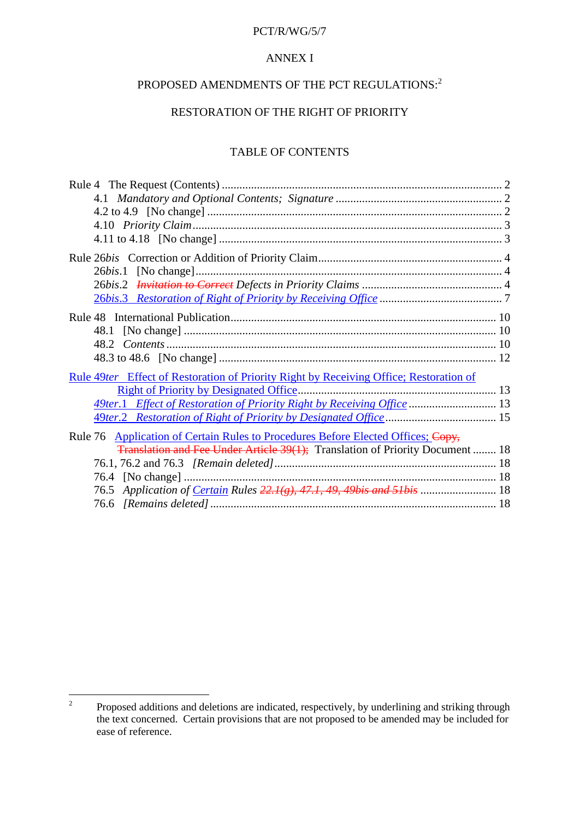#### PCT/R/WG/5/7

#### ANNEX I

# PROPOSED AMENDMENTS OF THE PCT REGULATIONS:<sup>2</sup>

# RESTORATION OF THE RIGHT OF PRIORITY

# TABLE OF CONTENTS

| 48.1                                                                                          |  |
|-----------------------------------------------------------------------------------------------|--|
|                                                                                               |  |
|                                                                                               |  |
| <u>Rule 49ter Effect of Restoration of Priority Right by Receiving Office; Restoration of</u> |  |
|                                                                                               |  |
| <u>49ter.1 Effect of Restoration of Priority Right by Receiving Office</u> 13                 |  |
|                                                                                               |  |
| Rule 76 Application of Certain Rules to Procedures Before Elected Offices; Copy,              |  |
| <b>Translation and Fee Under Article 39(1);</b> Translation of Priority Document  18          |  |
|                                                                                               |  |
|                                                                                               |  |
| 76.5 Application of Certain Rules 22.1(g), 47.1, 49, 49bis and 51bis  18                      |  |
|                                                                                               |  |

<sup>&</sup>lt;sup>2</sup> Proposed additions and deletions are indicated, respectively, by underlining and striking through the text concerned. Certain provisions that are not proposed to be amended may be included for ease of reference.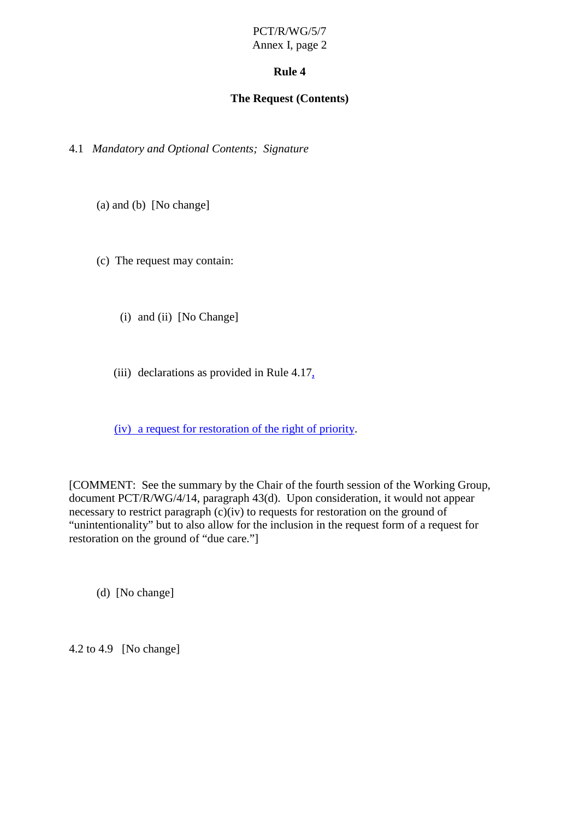# **Rule 4**

# **The Request (Contents)**

<span id="page-8-0"></span>4.1 *Mandatory and Optional Contents; Signature*

(a) and (b) [No change]

(c) The request may contain:

(i) and (ii) [No Change]

(iii) declarations as provided in Rule  $4.17<sub>a</sub>$ 

(iv) a request for restoration of the right of priority.

[COMMENT: See the summary by the Chair of the fourth session of the Working Group, document PCT/R/WG/4/14, paragraph 43(d). Upon consideration, it would not appear necessary to restrict paragraph (c)(iv) to requests for restoration on the ground of "unintentionality" but to also allow for the inclusion in the request form of a request for restoration on the ground of "due care."]

(d) [No change]

4.2 to 4.9 [No change]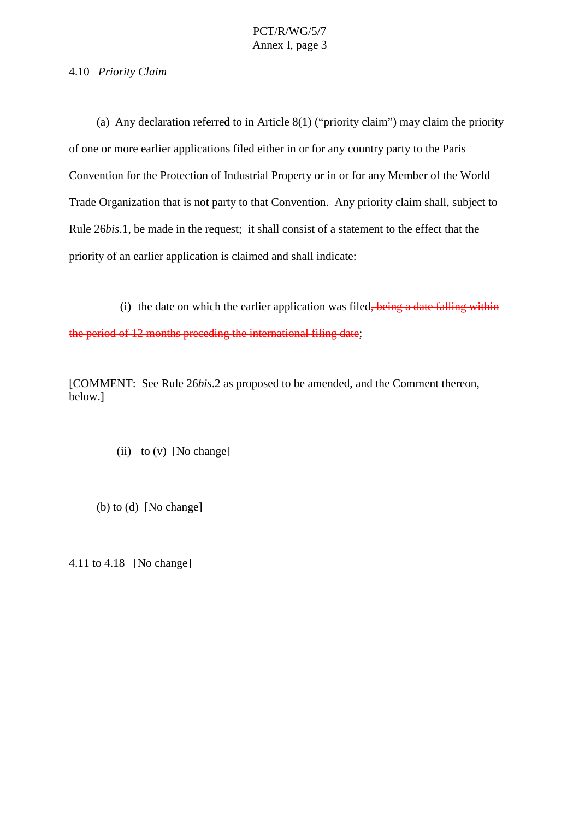<span id="page-9-0"></span>4.10 *Priority Claim*

(a) Any declaration referred to in Article 8(1) ("priority claim") may claim the priority of one or more earlier applications filed either in or for any country party to the Paris Convention for the Protection of Industrial Property or in or for any Member of the World Trade Organization that is not party to that Convention. Any priority claim shall, subject to Rule 26*bis*.1, be made in the request; it shall consist of a statement to the effect that the priority of an earlier application is claimed and shall indicate:

(i) the date on which the earlier application was filed, being a date falling within the period of 12 months preceding the international filing date;

[COMMENT: See Rule 26*bis*.2 as proposed to be amended, and the Comment thereon, below.]

(ii) to (v) [No change]

(b) to (d) [No change]

4.11 to 4.18 [No change]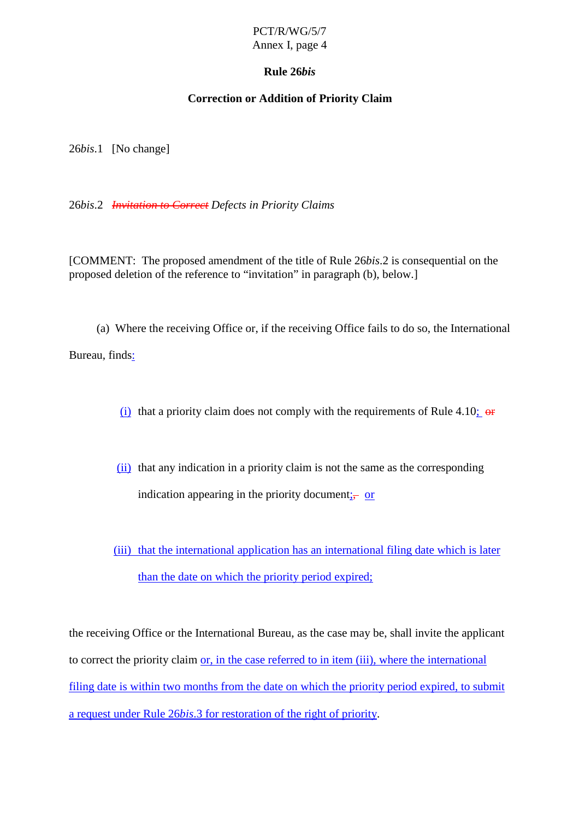# **Rule 26***bis*

#### **Correction or Addition of Priority Claim**

<span id="page-10-0"></span>26*bis*.1 [No change]

26*bis*.2 *Invitation to Correct Defects in Priority Claims*

[COMMENT: The proposed amendment of the title of Rule 26*bis*.2 is consequential on the proposed deletion of the reference to "invitation" in paragraph (b), below.]

(a) Where the receiving Office or, if the receiving Office fails to do so, the International Bureau, finds:

(i) that a priority claim does not comply with the requirements of Rule 4.10;  $\theta$ 

(ii) that any indication in a priority claim is not the same as the corresponding indication appearing in the priority document;  $\frac{\partial}{\partial r}$  or

(iii) that the international application has an international filing date which is later than the date on which the priority period expired;

the receiving Office or the International Bureau, as the case may be, shall invite the applicant to correct the priority claim or, in the case referred to in item (iii), where the international filing date is within two months from the date on which the priority period expired, to submit a request under Rule 26*bis*.3 for restoration of the right of priority.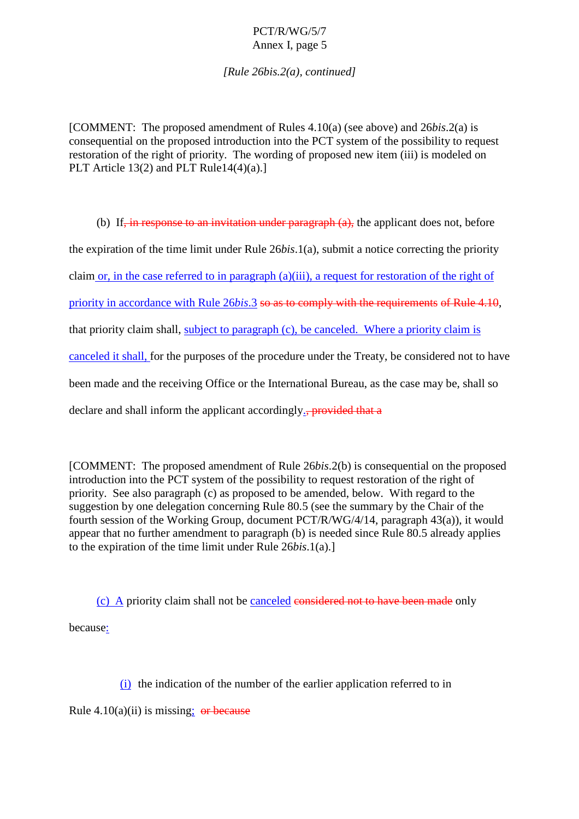*[Rule 26bis.2(a), continued]*

[COMMENT: The proposed amendment of Rules 4.10(a) (see above) and 26*bis*.2(a) is consequential on the proposed introduction into the PCT system of the possibility to request restoration of the right of priority. The wording of proposed new item (iii) is modeled on PLT Article 13(2) and PLT Rule14(4)(a).]

(b) If, in response to an invitation under paragraph  $(a)$ , the applicant does not, before the expiration of the time limit under Rule 26*bis*.1(a), submit a notice correcting the priority claim or, in the case referred to in paragraph (a)(iii), a request for restoration of the right of priority in accordance with Rule 26*bis*. 3 so as to comply with the requirements of Rule 4.10, that priority claim shall, subject to paragraph (c), be canceled. Where a priority claim is canceled it shall, for the purposes of the procedure under the Treaty, be considered not to have been made and the receiving Office or the International Bureau, as the case may be, shall so declare and shall inform the applicant accordingly., provided that a

[COMMENT: The proposed amendment of Rule 26*bis*.2(b) is consequential on the proposed introduction into the PCT system of the possibility to request restoration of the right of priority. See also paragraph (c) as proposed to be amended, below. With regard to the suggestion by one delegation concerning Rule 80.5 (see the summary by the Chair of the fourth session of the Working Group, document PCT/R/WG/4/14, paragraph 43(a)), it would appear that no further amendment to paragraph (b) is needed since Rule 80.5 already applies to the expiration of the time limit under Rule 26*bis*.1(a).]

(c) A priority claim shall not be canceled considered not to have been made only because:

(i) the indication of the number of the earlier application referred to in

Rule 4.10(a)(ii) is missing;  $\theta$ r because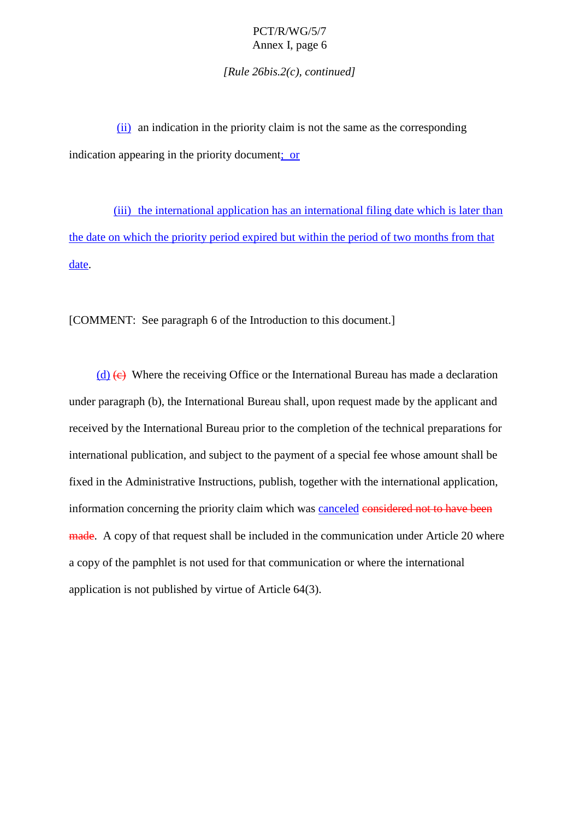*[Rule 26bis.2(c), continued]*

(ii) an indication in the priority claim is not the same as the corresponding indication appearing in the priority document; or

(iii) the international application has an international filing date which is later than the date on which the priority period expired but within the period of two months from that date.

[COMMENT: See paragraph [6](#page-4-0) of the Introduction to this document.]

(d)  $(e)$  Where the receiving Office or the International Bureau has made a declaration under paragraph (b), the International Bureau shall, upon request made by the applicant and received by the International Bureau prior to the completion of the technical preparations for international publication, and subject to the payment of a special fee whose amount shall be fixed in the Administrative Instructions, publish, together with the international application, information concerning the priority claim which was canceled considered not to have been made. A copy of that request shall be included in the communication under Article 20 where a copy of the pamphlet is not used for that communication or where the international application is not published by virtue of Article 64(3).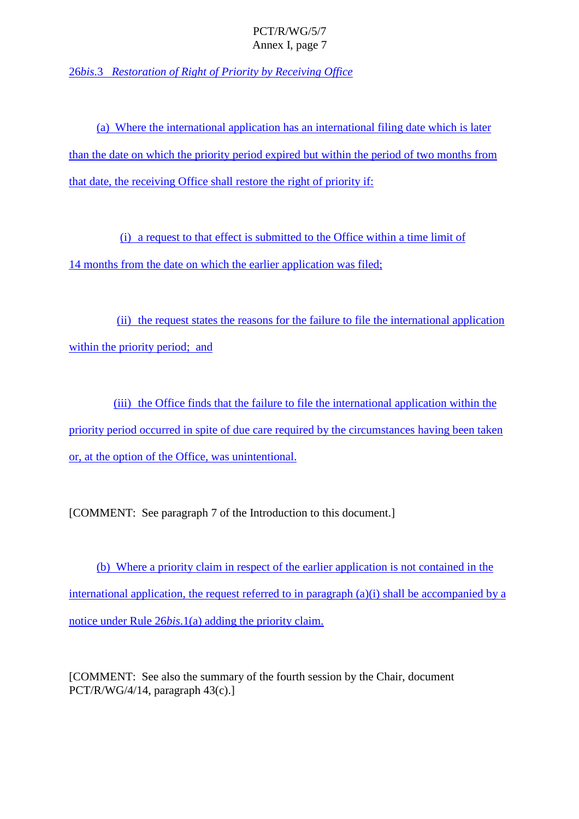<span id="page-13-0"></span>26*bis*.3 *Restoration of Right of Priority by Receiving Office*

(a) Where the international application has an international filing date which is later than the date on which the priority period expired but within the period of two months from that date, the receiving Office shall restore the right of priority if:

(i) a request to that effect is submitted to the Office within a time limit of 14 months from the date on which the earlier application was filed;

(ii) the request states the reasons for the failure to file the international application within the priority period; and

(iii) the Office finds that the failure to file the international application within the priority period occurred in spite of due care required by the circumstances having been taken or, at the option of the Office, was unintentional.

[COMMENT: See paragraph [7](#page-4-0) of the Introduction to this document.]

(b) Where a priority claim in respect of the earlier application is not contained in the international application, the request referred to in paragraph (a)(i) shall be accompanied by a notice under Rule 26*bis*.1(a) adding the priority claim.

[COMMENT: See also the summary of the fourth session by the Chair, document PCT/R/WG/4/14, paragraph 43(c).]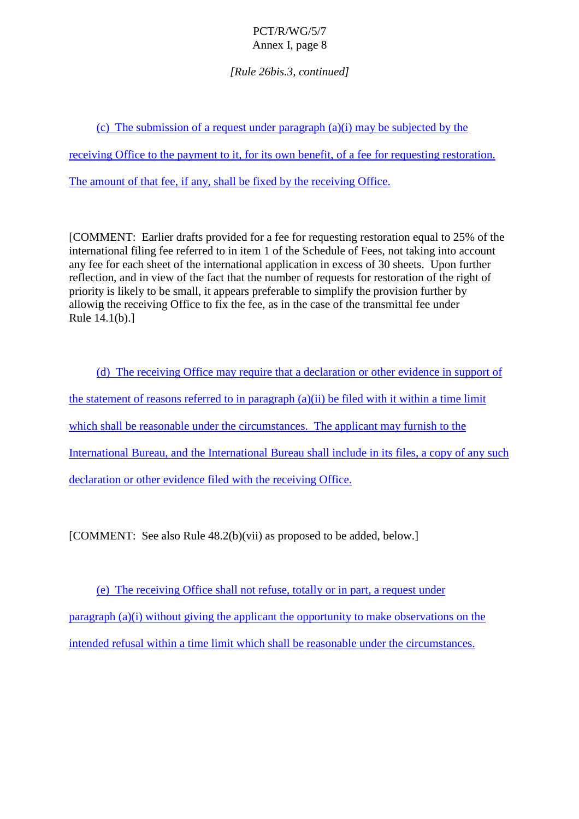*[Rule 26bis.3, continued]*

(c) The submission of a request under paragraph (a)(i) may be subjected by the receiving Office to the payment to it, for its own benefit, of a fee for requesting restoration.

The amount of that fee, if any, shall be fixed by the receiving Office.

[COMMENT: Earlier drafts provided for a fee for requesting restoration equal to 25% of the international filing fee referred to in item 1 of the Schedule of Fees, not taking into account any fee for each sheet of the international application in excess of 30 sheets. Upon further reflection, and in view of the fact that the number of requests for restoration of the right of priority is likely to be small, it appears preferable to simplify the provision further by allowing the receiving Office to fix the fee, as in the case of the transmittal fee under Rule 14.1(b).]

(d) The receiving Office may require that a declaration or other evidence in support of the statement of reasons referred to in paragraph (a)(ii) be filed with it within a time limit which shall be reasonable under the circumstances. The applicant may furnish to the International Bureau, and the International Bureau shall include in its files, a copy of any such declaration or other evidence filed with the receiving Office.

[COMMENT: See also Rule 48.2(b)(vii) as proposed to be added, below.]

(e) The receiving Office shall not refuse, totally or in part, a request under paragraph (a)(i) without giving the applicant the opportunity to make observations on the intended refusal within a time limit which shall be reasonable under the circumstances.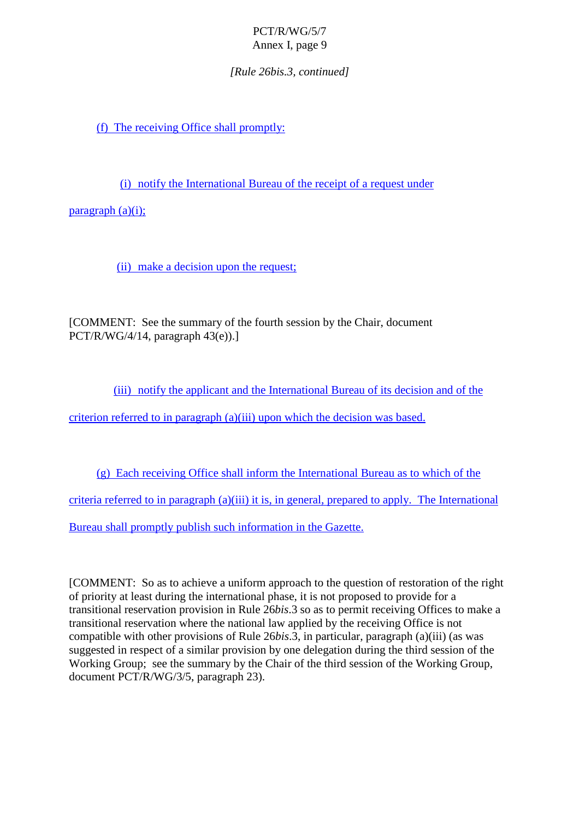*[Rule 26bis.3, continued]*

(f) The receiving Office shall promptly:

(i) notify the International Bureau of the receipt of a request under

paragraph  $(a)(i)$ ;

(ii) make a decision upon the request;

[COMMENT: See the summary of the fourth session by the Chair, document PCT/R/WG/4/14, paragraph 43(e)).]

(iii) notify the applicant and the International Bureau of its decision and of the

criterion referred to in paragraph (a)(iii) upon which the decision was based.

(g) Each receiving Office shall inform the International Bureau as to which of the criteria referred to in paragraph (a)(iii) it is, in general, prepared to apply. The International Bureau shall promptly publish such information in the Gazette.

[COMMENT: So as to achieve a uniform approach to the question of restoration of the right of priority at least during the international phase, it is not proposed to provide for a transitional reservation provision in Rule 26*bis*.3 so as to permit receiving Offices to make a transitional reservation where the national law applied by the receiving Office is not compatible with other provisions of Rule 26*bis*.3, in particular, paragraph (a)(iii) (as was suggested in respect of a similar provision by one delegation during the third session of the Working Group; see the summary by the Chair of the third session of the Working Group, document PCT/R/WG/3/5, paragraph 23).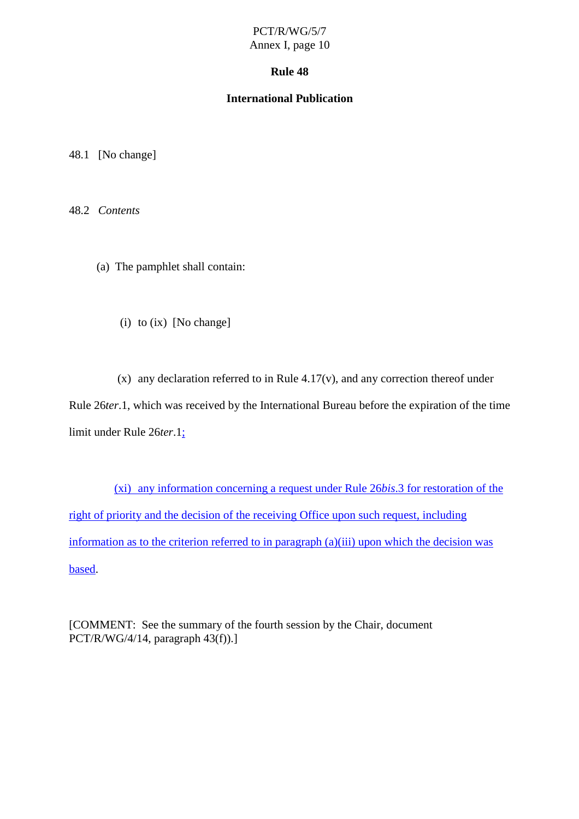#### **Rule 48**

#### **International Publication**

<span id="page-16-0"></span>48.1 [No change]

48.2 *Contents*

- (a) The pamphlet shall contain:
	- (i) to (ix) [No change]

(x) any declaration referred to in Rule  $4.17(v)$ , and any correction thereof under Rule 26*ter*.1, which was received by the International Bureau before the expiration of the time limit under Rule 26*ter*.1;

(xi) any information concerning a request under Rule 26*bis*.3 for restoration of the right of priority and the decision of the receiving Office upon such request, including information as to the criterion referred to in paragraph (a)(iii) upon which the decision was based.

[COMMENT: See the summary of the fourth session by the Chair, document PCT/R/WG/4/14, paragraph 43(f)).]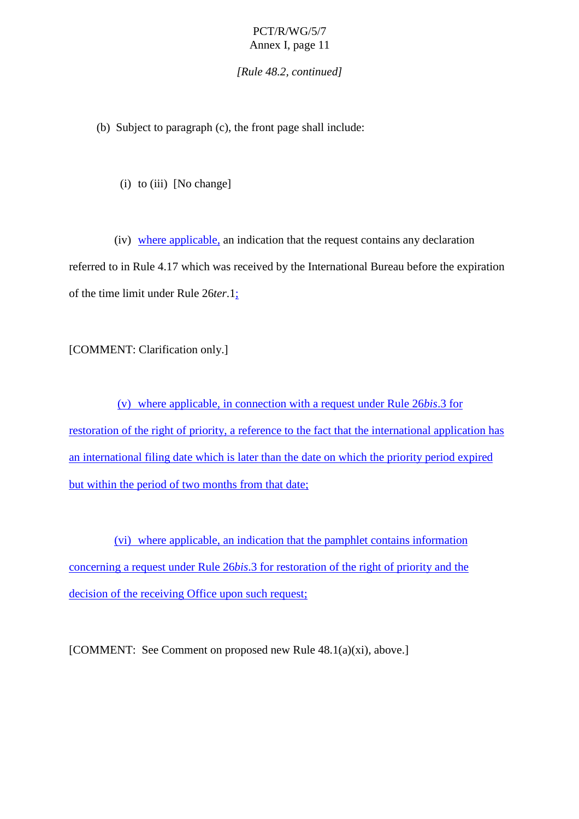*[Rule 48.2, continued]*

(b) Subject to paragraph (c), the front page shall include:

(i) to (iii) [No change]

(iv) where applicable, an indication that the request contains any declaration referred to in Rule 4.17 which was received by the International Bureau before the expiration of the time limit under Rule 26*ter*.1;

[COMMENT: Clarification only.]

(v) where applicable, in connection with a request under Rule 26*bis*.3 for restoration of the right of priority, a reference to the fact that the international application has an international filing date which is later than the date on which the priority period expired but within the period of two months from that date;

(vi) where applicable, an indication that the pamphlet contains information concerning a request under Rule 26*bis*.3 for restoration of the right of priority and the decision of the receiving Office upon such request;

[COMMENT: See Comment on proposed new Rule 48.1(a)(xi), above.]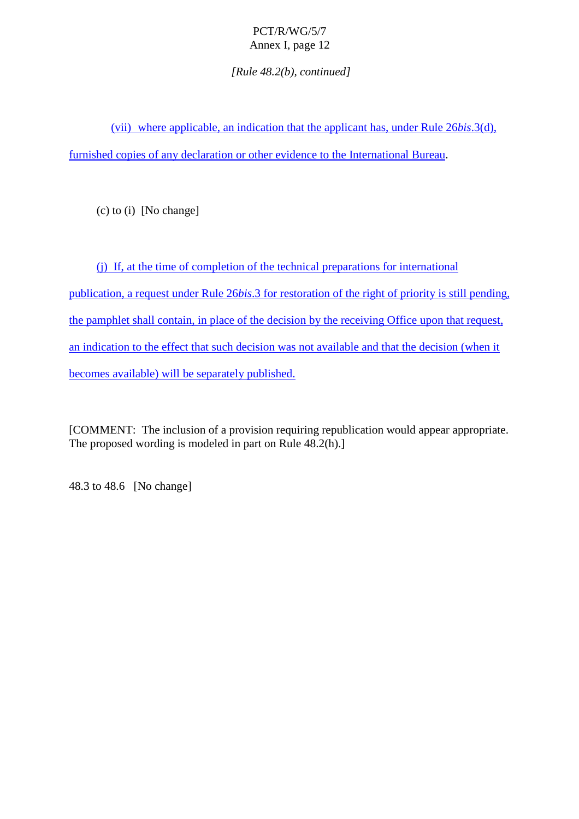*[Rule 48.2(b), continued]*

<span id="page-18-0"></span>(vii) where applicable, an indication that the applicant has, under Rule 26*bis*.3(d), furnished copies of any declaration or other evidence to the International Bureau.

(c) to (i) [No change]

(j) If, at the time of completion of the technical preparations for international publication, a request under Rule 26*bis*.3 for restoration of the right of priority is still pending, the pamphlet shall contain, in place of the decision by the receiving Office upon that request, an indication to the effect that such decision was not available and that the decision (when it becomes available) will be separately published.

[COMMENT: The inclusion of a provision requiring republication would appear appropriate. The proposed wording is modeled in part on Rule 48.2(h).]

48.3 to 48.6 [No change]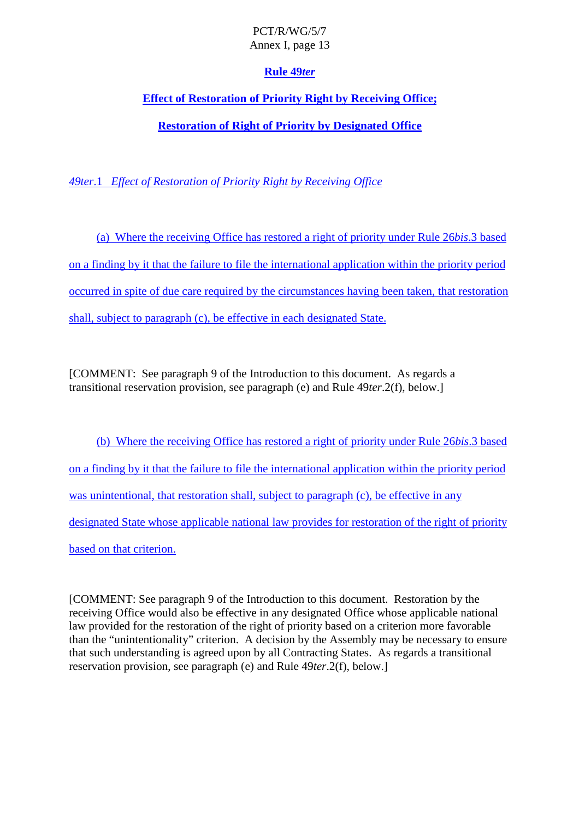# **Rule 49***ter*

# <span id="page-19-0"></span>**Effect of Restoration of Priority Right by Receiving Office;**

# **Restoration of Right of Priority by Designated Office**

*49ter*.1 *Effect of Restoration of Priority Right by Receiving Office*

(a) Where the receiving Office has restored a right of priority under Rule 26*bis*.3 based on a finding by it that the failure to file the international application within the priority period occurred in spite of due care required by the circumstances having been taken, that restoration shall, subject to paragraph (c), be effective in each designated State.

[COMMENT: See paragraph [9](#page-6-0) of the Introduction to this document. As regards a transitional reservation provision, see paragraph (e) and Rule 49*ter*.2(f), below.]

(b) Where the receiving Office has restored a right of priority under Rule 26*bis*.3 based on a finding by it that the failure to file the international application within the priority period was unintentional, that restoration shall, subject to paragraph (c), be effective in any designated State whose applicable national law provides for restoration of the right of priority based on that criterion.

[COMMENT: See paragraph [9](#page-6-0) of the Introduction to this document. Restoration by the receiving Office would also be effective in any designated Office whose applicable national law provided for the restoration of the right of priority based on a criterion more favorable than the "unintentionality" criterion. A decision by the Assembly may be necessary to ensure that such understanding is agreed upon by all Contracting States. As regards a transitional reservation provision, see paragraph (e) and Rule 49*ter*.2(f), below.]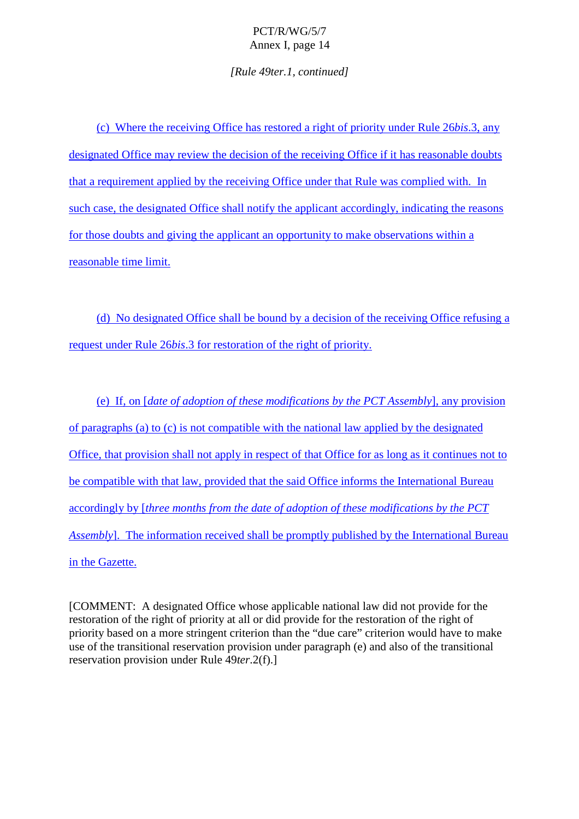*[Rule 49ter.1, continued]*

(c) Where the receiving Office has restored a right of priority under Rule 26*bis*.3, any designated Office may review the decision of the receiving Office if it has reasonable doubts that a requirement applied by the receiving Office under that Rule was complied with. In such case, the designated Office shall notify the applicant accordingly, indicating the reasons for those doubts and giving the applicant an opportunity to make observations within a reasonable time limit.

(d) No designated Office shall be bound by a decision of the receiving Office refusing a request under Rule 26*bis*.3 for restoration of the right of priority.

(e) If, on [*date of adoption of these modifications by the PCT Assembly*], any provision of paragraphs (a) to (c) is not compatible with the national law applied by the designated Office, that provision shall not apply in respect of that Office for as long as it continues not to be compatible with that law, provided that the said Office informs the International Bureau accordingly by [*three months from the date of adoption of these modifications by the PCT Assembly*]. The information received shall be promptly published by the International Bureau in the Gazette.

[COMMENT: A designated Office whose applicable national law did not provide for the restoration of the right of priority at all or did provide for the restoration of the right of priority based on a more stringent criterion than the "due care" criterion would have to make use of the transitional reservation provision under paragraph (e) and also of the transitional reservation provision under Rule 49*ter*.2(f).]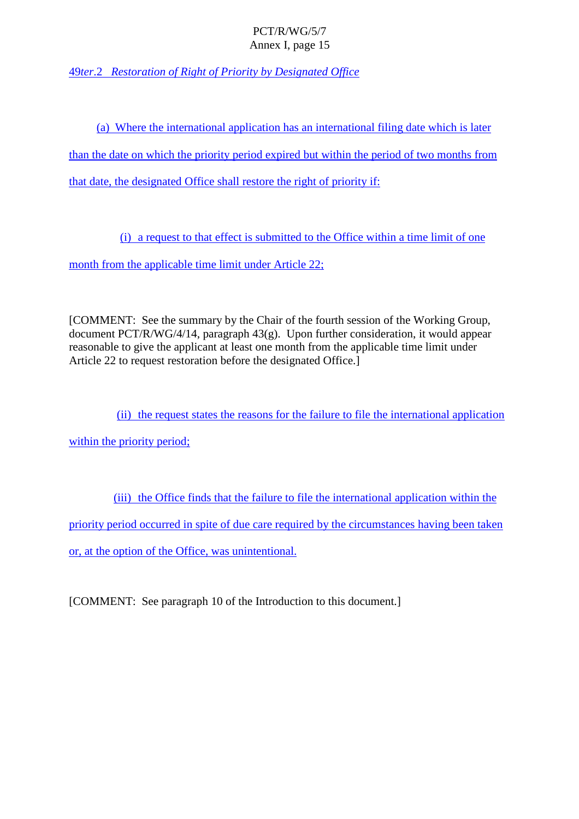<span id="page-21-0"></span>49*ter*.2 *Restoration of Right of Priority by Designated Office*

(a) Where the international application has an international filing date which is later than the date on which the priority period expired but within the period of two months from that date, the designated Office shall restore the right of priority if:

(i) a request to that effect is submitted to the Office within a time limit of one month from the applicable time limit under Article 22;

[COMMENT: See the summary by the Chair of the fourth session of the Working Group, document PCT/R/WG/4/14, paragraph 43(g). Upon further consideration, it would appear reasonable to give the applicant at least one month from the applicable time limit under Article 22 to request restoration before the designated Office.]

(ii) the request states the reasons for the failure to file the international application within the priority period;

(iii) the Office finds that the failure to file the international application within the priority period occurred in spite of due care required by the circumstances having been taken or, at the option of the Office, was unintentional.

[COMMENT: See paragraph [10](#page-6-0) of the Introduction to this document.]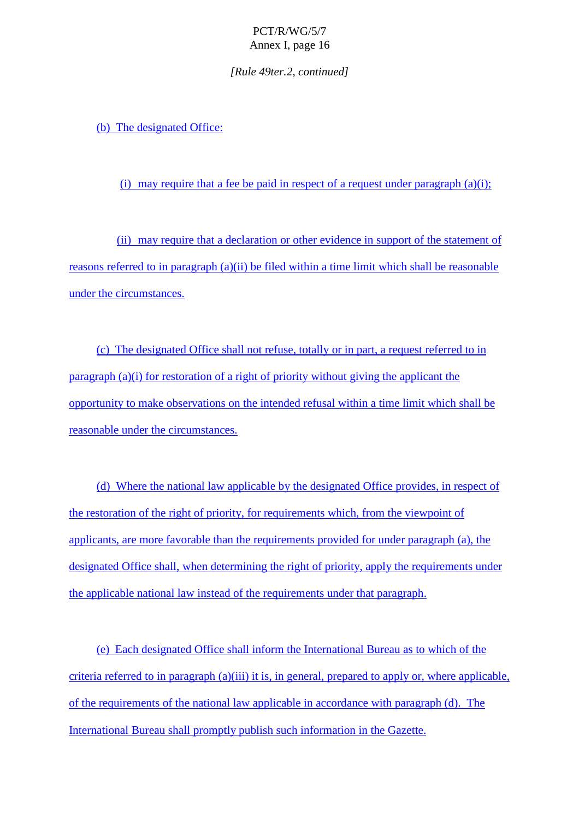*[Rule 49ter.2, continued]*

(b) The designated Office:

#### (i) may require that a fee be paid in respect of a request under paragraph  $(a)(i)$ ;

(ii) may require that a declaration or other evidence in support of the statement of reasons referred to in paragraph (a)(ii) be filed within a time limit which shall be reasonable under the circumstances.

(c) The designated Office shall not refuse, totally or in part, a request referred to in paragraph (a)(i) for restoration of a right of priority without giving the applicant the opportunity to make observations on the intended refusal within a time limit which shall be reasonable under the circumstances.

(d) Where the national law applicable by the designated Office provides, in respect of the restoration of the right of priority, for requirements which, from the viewpoint of applicants, are more favorable than the requirements provided for under paragraph (a), the designated Office shall, when determining the right of priority, apply the requirements under the applicable national law instead of the requirements under that paragraph.

(e) Each designated Office shall inform the International Bureau as to which of the criteria referred to in paragraph (a)(iii) it is, in general, prepared to apply or, where applicable, of the requirements of the national law applicable in accordance with paragraph (d). The International Bureau shall promptly publish such information in the Gazette.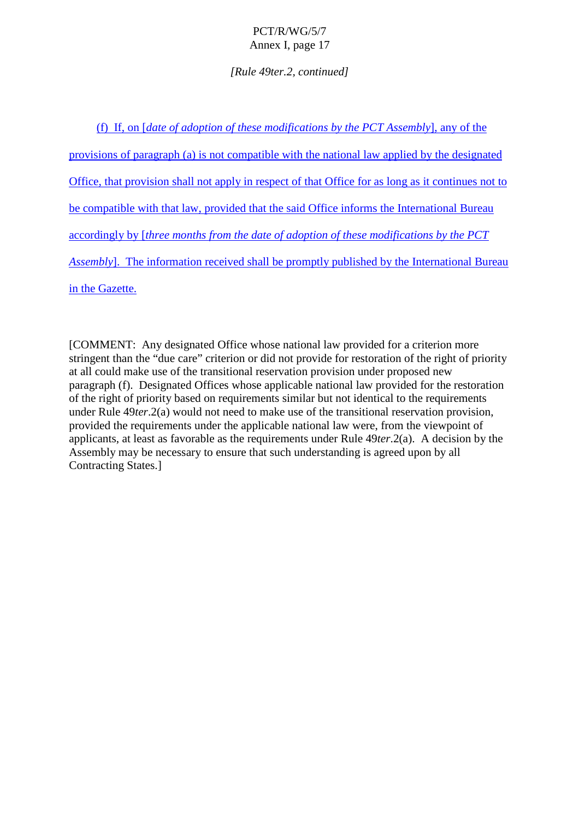*[Rule 49ter.2, continued]*

(f) If, on [*date of adoption of these modifications by the PCT Assembly*], any of the provisions of paragraph (a) is not compatible with the national law applied by the designated Office, that provision shall not apply in respect of that Office for as long as it continues not to be compatible with that law, provided that the said Office informs the International Bureau accordingly by [*three months from the date of adoption of these modifications by the PCT Assembly*]. The information received shall be promptly published by the International Bureau in the Gazette.

[COMMENT: Any designated Office whose national law provided for a criterion more stringent than the "due care" criterion or did not provide for restoration of the right of priority at all could make use of the transitional reservation provision under proposed new paragraph (f). Designated Offices whose applicable national law provided for the restoration of the right of priority based on requirements similar but not identical to the requirements under Rule 49*ter*.2(a) would not need to make use of the transitional reservation provision, provided the requirements under the applicable national law were, from the viewpoint of applicants, at least as favorable as the requirements under Rule 49*ter*.2(a). A decision by the Assembly may be necessary to ensure that such understanding is agreed upon by all Contracting States.]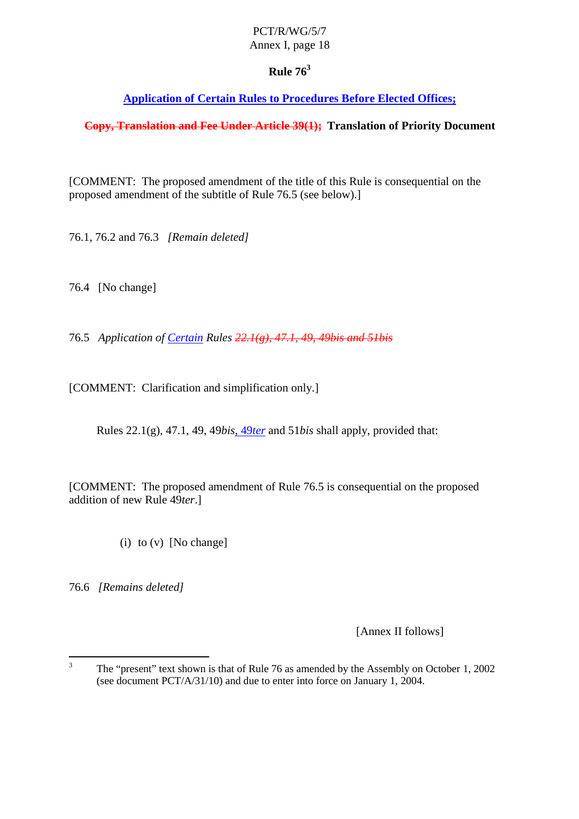# **Rule 763**

**Application of Certain Rules to Procedures Before Elected Offices;**

<span id="page-24-0"></span>**Copy, Translation and Fee Under Article 39(1); Translation of Priority Document**

[COMMENT: The proposed amendment of the title of this Rule is consequential on the proposed amendment of the subtitle of Rule 76.5 (see below).]

76.1, 76.2 and 76.3 *[Remain deleted]*

76.4 [No change]

76.5 *Application of Certain Rules 22.1(g), 47.1, 49, 49bis and 51bis*

[COMMENT: Clarification and simplification only.]

Rules 22.1(g), 47.1, 49, 49*bis*, 49*ter* and 51*bis* shall apply, provided that:

[COMMENT: The proposed amendment of Rule 76.5 is consequential on the proposed addition of new Rule 49*ter*.]

(i) to (v) [No change]

76.6 *[Remains deleted]*

[Annex II follows]

<sup>&</sup>lt;sup>3</sup> The "present" text shown is that of Rule 76 as amended by the Assembly on October 1, 2002 (see document PCT/A/31/10) and due to enter into force on January 1, 2004.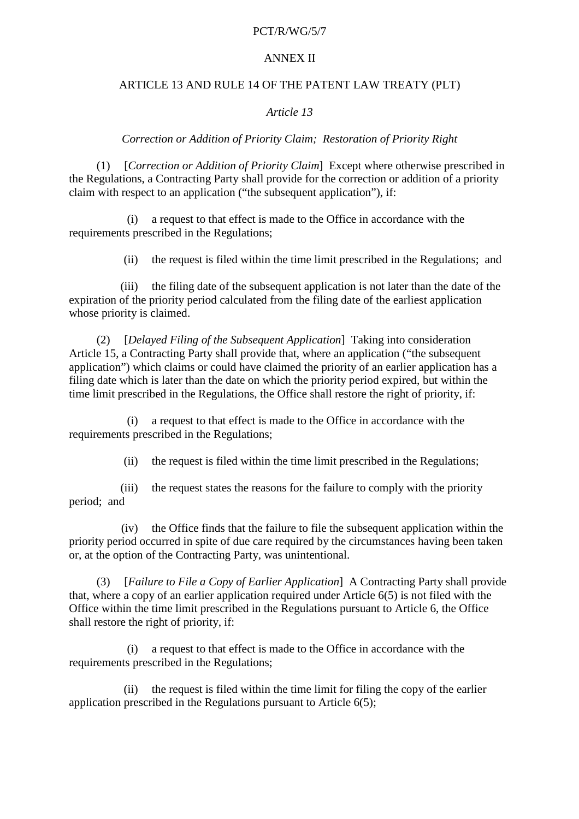#### PCT/R/WG/5/7

#### ANNEX II

#### ARTICLE 13 AND RULE 14 OF THE PATENT LAW TREATY (PLT)

#### *Article 13*

#### *Correction or Addition of Priority Claim; Restoration of Priority Right*

(1) [*Correction or Addition of Priority Claim*] Except where otherwise prescribed in the Regulations, a Contracting Party shall provide for the correction or addition of a priority claim with respect to an application ("the subsequent application"), if:

(i) a request to that effect is made to the Office in accordance with the requirements prescribed in the Regulations;

(ii) the request is filed within the time limit prescribed in the Regulations; and

(iii) the filing date of the subsequent application is not later than the date of the expiration of the priority period calculated from the filing date of the earliest application whose priority is claimed.

(2) [*Delayed Filing of the Subsequent Application*] Taking into consideration Article 15, a Contracting Party shall provide that, where an application ("the subsequent application") which claims or could have claimed the priority of an earlier application has a filing date which is later than the date on which the priority period expired, but within the time limit prescribed in the Regulations, the Office shall restore the right of priority, if:

(i) a request to that effect is made to the Office in accordance with the requirements prescribed in the Regulations;

(ii) the request is filed within the time limit prescribed in the Regulations;

(iii) the request states the reasons for the failure to comply with the priority period; and

(iv) the Office finds that the failure to file the subsequent application within the priority period occurred in spite of due care required by the circumstances having been taken or, at the option of the Contracting Party, was unintentional.

(3) [*Failure to File a Copy of Earlier Application*] A Contracting Party shall provide that, where a copy of an earlier application required under Article 6(5) is not filed with the Office within the time limit prescribed in the Regulations pursuant to Article 6, the Office shall restore the right of priority, if:

(i) a request to that effect is made to the Office in accordance with the requirements prescribed in the Regulations;

(ii) the request is filed within the time limit for filing the copy of the earlier application prescribed in the Regulations pursuant to Article 6(5);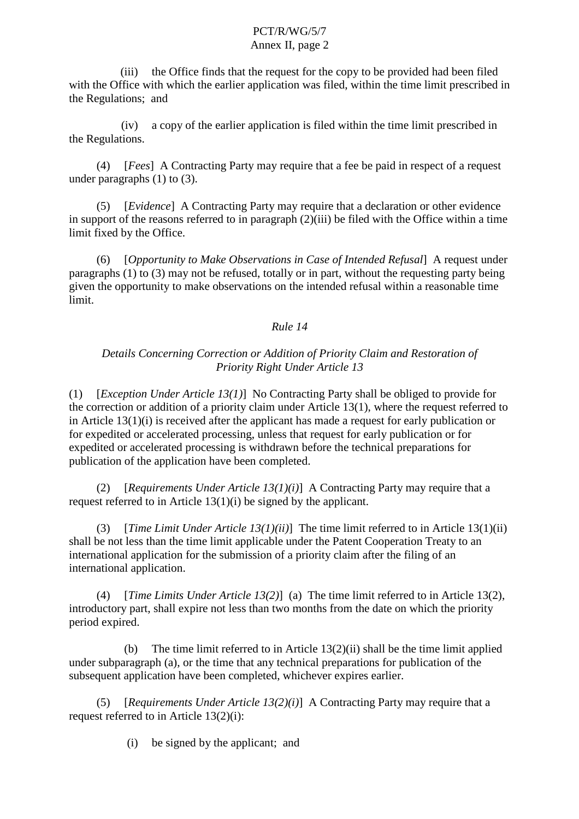(iii) the Office finds that the request for the copy to be provided had been filed with the Office with which the earlier application was filed, within the time limit prescribed in the Regulations; and

(iv) a copy of the earlier application is filed within the time limit prescribed in the Regulations.

(4) [*Fees*] A Contracting Party may require that a fee be paid in respect of a request under paragraphs (1) to (3).

(5) [*Evidence*] A Contracting Party may require that a declaration or other evidence in support of the reasons referred to in paragraph (2)(iii) be filed with the Office within a time limit fixed by the Office.

(6) [*Opportunity to Make Observations in Case of Intended Refusal*] A request under paragraphs (1) to (3) may not be refused, totally or in part, without the requesting party being given the opportunity to make observations on the intended refusal within a reasonable time limit.

# *Rule 14*

# *Details Concerning Correction or Addition of Priority Claim and Restoration of Priority Right Under Article 13*

(1) [*Exception Under Article 13(1)*] No Contracting Party shall be obliged to provide for the correction or addition of a priority claim under Article 13(1), where the request referred to in Article 13(1)(i) is received after the applicant has made a request for early publication or for expedited or accelerated processing, unless that request for early publication or for expedited or accelerated processing is withdrawn before the technical preparations for publication of the application have been completed.

(2) [*Requirements Under Article 13(1)(i)*] A Contracting Party may require that a request referred to in Article 13(1)(i) be signed by the applicant.

(3) [*Time Limit Under Article 13(1)(ii)*] The time limit referred to in Article 13(1)(ii) shall be not less than the time limit applicable under the Patent Cooperation Treaty to an international application for the submission of a priority claim after the filing of an international application.

(4) [*Time Limits Under Article 13(2)*] (a) The time limit referred to in Article 13(2), introductory part, shall expire not less than two months from the date on which the priority period expired.

(b) The time limit referred to in Article  $13(2)(ii)$  shall be the time limit applied under subparagraph (a), or the time that any technical preparations for publication of the subsequent application have been completed, whichever expires earlier.

(5) [*Requirements Under Article 13(2)(i)*] A Contracting Party may require that a request referred to in Article 13(2)(i):

(i) be signed by the applicant; and